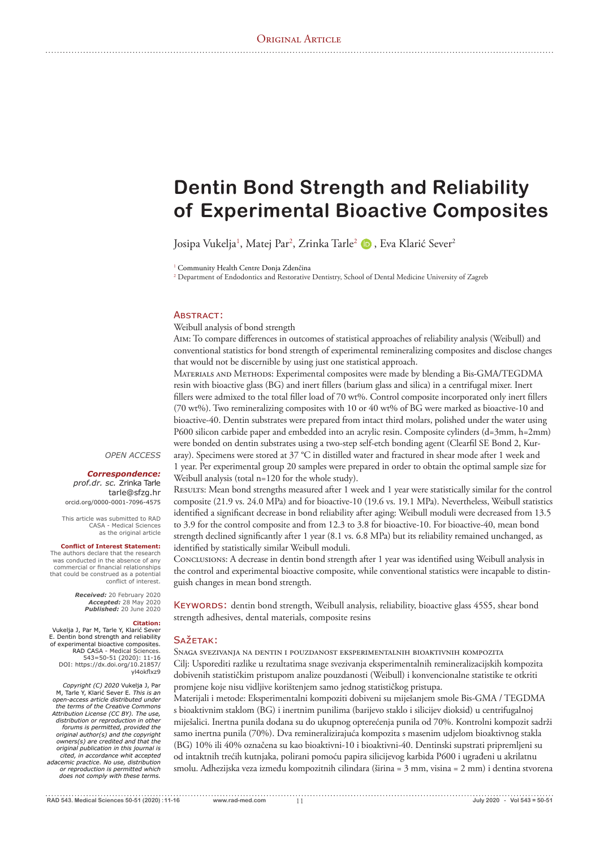# **Dentin Bond Strength and Reliability of Experimental Bioactive Composites**

Josipa Vukelja<sup>1</sup>, Matej Par<sup>2</sup>, Zrinka Tarle<sup>2</sup> (D , Eva Klarić Sever<sup>2</sup>

<sup>1</sup> Community Health Centre Donja Zdenčina

<sup>2</sup> Department of Endodontics and Restorative Dentistry, School of Dental Medicine University of Zagreb

#### **ABSTRACT:**

Weibull analysis of bond strength

AIM: To compare differences in outcomes of statistical approaches of reliability analysis (Weibull) and conventional statistics for bond strength of experimental remineralizing composites and disclose changes that would not be discernible by using just one statistical approach.

Materials and Methods: Experimental composites were made by blending a Bis-GMA/TEGDMA resin with bioactive glass (BG) and inert fillers (barium glass and silica) in a centrifugal mixer. Inert fillers were admixed to the total filler load of 70 wt%. Control composite incorporated only inert fillers (70 wt%). Two remineralizing composites with 10 or 40 wt% of BG were marked as bioactive-10 and bioactive-40. Dentin substrates were prepared from intact third molars, polished under the water using P600 silicon carbide paper and embedded into an acrylic resin. Composite cylinders (d=3mm, h=2mm) were bonded on dentin substrates using a two-step self-etch bonding agent (Clearfil SE Bond 2, Kuraray). Specimens were stored at 37 °C in distilled water and fractured in shear mode after 1 week and

1 year. Per experimental group 20 samples were prepared in order to obtain the optimal sample size for Weibull analysis (total n=120 for the whole study).

Resutrs: Mean bond strengths measured after 1 week and 1 year were statistically similar for the control composite (21.9 vs. 24.0 MPa) and for bioactive-10 (19.6 vs. 19.1 MPa). Nevertheless, Weibull statistics identified a significant decrease in bond reliability after aging: Weibull moduli were decreased from 13.5 to 3.9 for the control composite and from 12.3 to 3.8 for bioactive-10. For bioactive-40, mean bond strength declined significantly after 1 year (8.1 vs. 6.8 MPa) but its reliability remained unchanged, as identified by statistically similar Weibull moduli.

CONCLUSIONS: A decrease in dentin bond strength after 1 year was identified using Weibull analysis in the control and experimental bioactive composite, while conventional statistics were incapable to distinguish changes in mean bond strength.

KEYWORDS: dentin bond strength, Weibull analysis, reliability, bioactive glass 45S5, shear bond strength adhesives, dental materials, composite resins

## **SAŽETAK:**

Snaga svezivanja na dentin i pouzdanost eksperimentalnih bioaktivnih kompozita Cilj: Usporediti razlike u rezultatima snage svezivanja eksperimentalnih remineralizacijskih kompozita dobivenih statističkim pristupom analize pouzdanosti (Weibull) i konvencionalne statistike te otkriti promjene koje nisu vidljive korištenjem samo jednog statističkog pristupa.

Materijali i metode: Eksperimentalni kompoziti dobiveni su miješanjem smole Bis-GMA / TEGDMA s bioaktivnim staklom (BG) i inertnim punilima (barijevo staklo i silicijev dioksid) u centrifugalnoj miješalici. Inertna punila dodana su do ukupnog opterećenja punila od 70%. Kontrolni kompozit sadrži samo inertna punila (70%). Dva remineralizirajuća kompozita s masenim udjelom bioaktivnog stakla (BG) 10% ili 40% označena su kao bioaktivni-10 i bioaktivni-40. Dentinski supstrati pripremljeni su od intaktnih trećih kutnjaka, polirani pomoću papira silicijevog karbida P600 i ugrađeni u akrilatnu smolu. Adhezijska veza između kompozitnih cilindara (širina = 3 mm, visina = 2 mm) i dentina stvorena

*OPEN ACCESS*

#### *Correspondence:*

*prof.dr. sc.* Zrinka Tarle tarle@sfzg.hr orcid.org/0000-0001-7096-4575

This article was submitted to RAD<br>CASA - Medical Sciences<br>as the original article

#### **Conflict of Interest Statement:**

The authors declare that the research was conducted in the absence of any FREE ENTERTAIRM IN THE EXECUTE OF THIS that could be construed as a potential conflict of interest.

> **Received:** 20 February 2020 **Accepted:** 28 May 2020 **Published:** 20 June 2020

## **Citation:**

Vukelja J, Par M, Tarle Y, Klarić Sever E. Dentin bond strength and reliability<br>of experimental bioactive composites. RAD CASA - Medical Sciences 543=50-51 (2020): 11-16<br>/DOI: https://dx.doi.org/10.21857 yl4okflxz9

*Copyright (C) 2020* Vukelja J, Par<br>M, Tarle Y, Klarić Sever E. *This is an open-access article distributed under the terms of the Creative Commons Attribution License (CC BY). The use, distribution or reproduction in other forums is permitted, provided the original author(s) and the copyright owners(s) are credited and that the original publication in this journal is cited, in accordance whit accepted adacemic practice. No use, distribution or reproduction is permitted which does not comply with these terms.*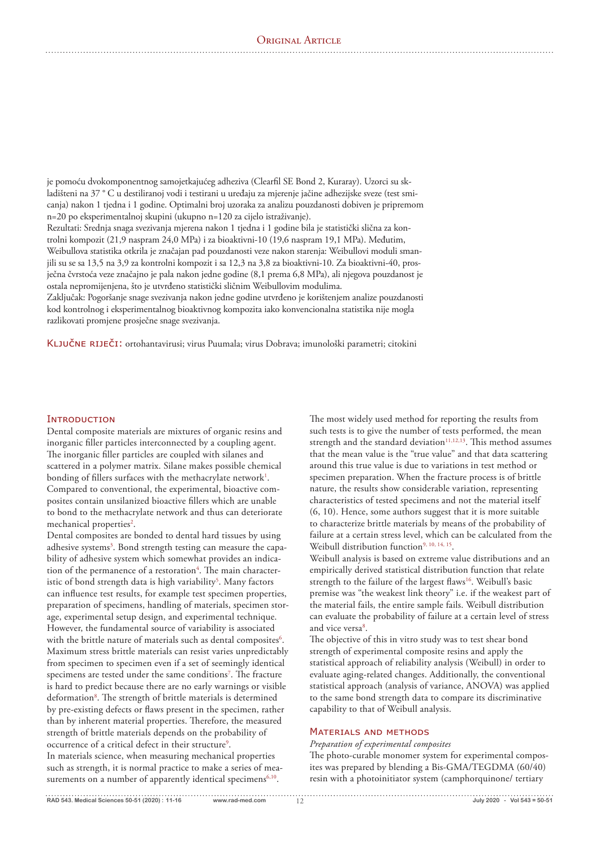je pomoću dvokomponentnog samojetkajućeg adheziva (Clearfil SE Bond 2, Kuraray). Uzorci su skladišteni na 37 ° C u destiliranoj vodi i testirani u uređaju za mjerenje jačine adhezijske sveze (test smicanja) nakon 1 tjedna i 1 godine. Optimalni broj uzoraka za analizu pouzdanosti dobiven je pripremom n=20 po eksperimentalnoj skupini (ukupno n=120 za cijelo istraživanje).

Rezultati: Srednja snaga svezivanja mjerena nakon 1 tjedna i 1 godine bila je statistički slična za kontrolni kompozit (21,9 naspram 24,0 MPa) i za bioaktivni-10 (19,6 naspram 19,1 MPa). Međutim, Weibullova statistika otkrila je značajan pad pouzdanosti veze nakon starenja: Weibullovi moduli smanjili su se sa 13,5 na 3,9 za kontrolni kompozit i sa 12,3 na 3,8 za bioaktivni-10. Za bioaktivni-40, prosječna čvrstoća veze značajno je pala nakon jedne godine (8,1 prema 6,8 MPa), ali njegova pouzdanost je ostala nepromijenjena, što je utvrđeno statistički sličnim Weibullovim modulima.

Zaključak: Pogoršanje snage svezivanja nakon jedne godine utvrđeno je korištenjem analize pouzdanosti kod kontrolnog i eksperimentalnog bioaktivnog kompozita iako konvencionalna statistika nije mogla razlikovati promjene prosječne snage svezivanja.

KLJUČNE RIJEČI: ortohantavirusi; virus Puumala; virus Dobrava; imunološki parametri; citokini

# ΙΝΤRODUCTION

Dental composite materials are mixtures of organic resins and inorganic filler particles interconnected by a coupling agent. The inorganic filler particles are coupled with silanes and scattered in a polymer matrix. Silane makes possible chemical bonding of fillers surfaces with the methacrylate network<sup>1</sup>. Compared to conventional, the experimental, bioactive composites contain unsilanized bioactive fillers which are unable to bond to the methacrylate network and thus can deteriorate mechanical properties<sup>2</sup>.

Dental composites are bonded to dental hard tissues by using adhesive systems<sup>3</sup>. Bond strength testing can measure the capability of adhesive system which somewhat provides an indication of the permanence of a restoration $^4.$  The main characteristic of bond strength data is high variability<sup>5</sup>. Many factors can influence test results, for example test specimen properties, preparation of specimens, handling of materials, specimen storage, experimental setup design, and experimental technique. However, the fundamental source of variability is associated with the brittle nature of materials such as dental composites $\rm ^6$ . Maximum stress brittle materials can resist varies unpredictably from specimen to specimen even if a set of seemingly identical specimens are tested under the same conditions<sup>7</sup>. The fracture is hard to predict because there are no early warnings or visible deformation<sup>8</sup>. The strength of brittle materials is determined by pre-existing defects or flaws present in the specimen, rather than by inherent material properties. Therefore, the measured strength of brittle materials depends on the probability of occurrence of a critical defect in their structure<sup>9</sup>. In materials science, when measuring mechanical properties such as strength, it is normal practice to make a series of measurements on a number of apparently identical specimens<sup>6,10</sup>.

The most widely used method for reporting the results from such tests is to give the number of tests performed, the mean strength and the standard deviation<sup>11,12,13</sup>. This method assumes that the mean value is the "true value" and that data scattering around this true value is due to variations in test method or specimen preparation. When the fracture process is of brittle nature, the results show considerable variation, representing characteristics of tested specimens and not the material itself (6, 10). Hence, some authors suggest that it is more suitable to characterize brittle materials by means of the probability of failure at a certain stress level, which can be calculated from the Weibull distribution function<sup>9, 10, 14, 15</sup>.

Weibull analysis is based on extreme value distributions and an empirically derived statistical distribution function that relate strength to the failure of the largest flaws<sup>16</sup>. Weibull's basic premise was "the weakest link theory" i.e. if the weakest part of the material fails, the entire sample fails. Weibull distribution can evaluate the probability of failure at a certain level of stress and vice versa<sup>8</sup>.

The objective of this in vitro study was to test shear bond strength of experimental composite resins and apply the statistical approach of reliability analysis (Weibull) in order to evaluate aging-related changes. Additionally, the conventional statistical approach (analysis of variance, ANOVA) was applied to the same bond strength data to compare its discriminative capability to that of Weibull analysis.

# MATERIALS AND METHODS

*Preparation of experimental composites*

The photo-curable monomer system for experimental composites was prepared by blending a Bis-GMA/TEGDMA (60/40) resin with a photoinitiator system (camphorquinone/ tertiary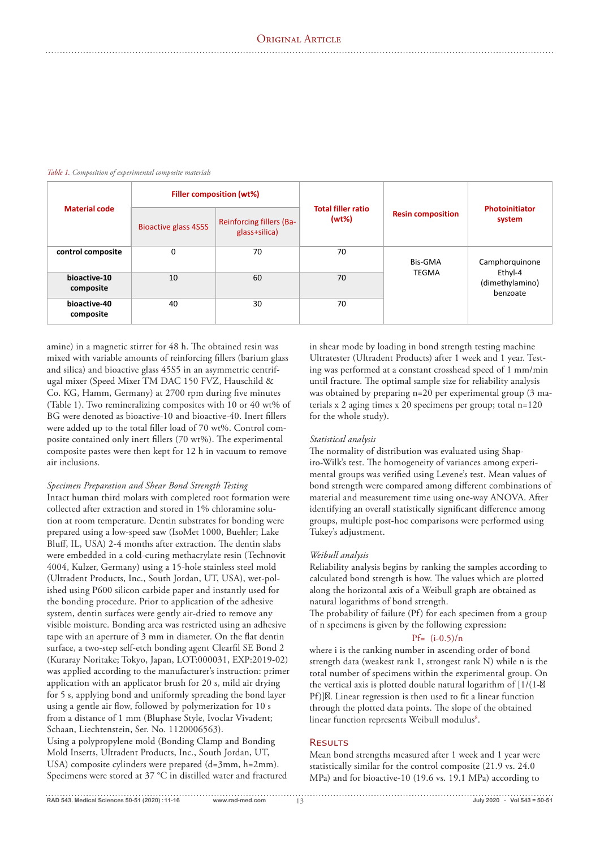| <b>Material code</b>      | <b>Filler composition (wt%)</b> |                                           |                                       |                          |                                                          |
|---------------------------|---------------------------------|-------------------------------------------|---------------------------------------|--------------------------|----------------------------------------------------------|
|                           | <b>Bioactive glass 4S5S</b>     | Reinforcing fillers (Ba-<br>glass+silica) | <b>Total filler ratio</b><br>$(wt\%)$ | <b>Resin composition</b> | <b>Photoinitiator</b><br>system                          |
| control composite         | 0                               | 70                                        | 70                                    | Bis-GMA<br><b>TEGMA</b>  | Camphorquinone<br>Ethyl-4<br>(dimethylamino)<br>benzoate |
| bioactive-10<br>composite | 10                              | 60                                        | 70                                    |                          |                                                          |
| bioactive-40<br>composite | 40                              | 30                                        | 70                                    |                          |                                                          |

#### *Table 1. Composition of experimental composite materials*

amine) in a magnetic stirrer for 48 h. The obtained resin was mixed with variable amounts of reinforcing fillers (barium glass and silica) and bioactive glass 45S5 in an asymmetric centrifugal mixer (Speed Mixer TM DAC 150 FVZ, Hauschild & Co. KG, Hamm, Germany) at 2700 rpm during five minutes (Table 1). Two remineralizing composites with 10 or 40 wt% of BG were denoted as bioactive-10 and bioactive-40. Inert fillers were added up to the total filler load of 70 wt%. Control composite contained only inert fillers (70 wt%). The experimental composite pastes were then kept for 12 h in vacuum to remove air inclusions.

#### *Specimen Preparation and Shear Bond Strength Testing*

Intact human third molars with completed root formation were collected after extraction and stored in 1% chloramine solution at room temperature. Dentin substrates for bonding were prepared using a low-speed saw (IsoMet 1000, Buehler; Lake Bluff, IL, USA) 2-4 months after extraction. The dentin slabs were embedded in a cold-curing methacrylate resin (Technovit 4004, Kulzer, Germany) using a 15-hole stainless steel mold (Ultradent Products, Inc., South Jordan, UT, USA), wet-polished using P600 silicon carbide paper and instantly used for the bonding procedure. Prior to application of the adhesive system, dentin surfaces were gently air-dried to remove any visible moisture. Bonding area was restricted using an adhesive tape with an aperture of 3 mm in diameter. On the flat dentin surface, a two-step self-etch bonding agent Clearfil SE Bond 2 (Kuraray Noritake; Tokyo, Japan, LOT:000031, EXP:2019-02) was applied according to the manufacturer's instruction: primer application with an applicator brush for 20 s, mild air drying for 5 s, applying bond and uniformly spreading the bond layer using a gentle air flow, followed by polymerization for 10 s from a distance of 1 mm (Bluphase Style, Ivoclar Vivadent; Schaan, Liechtenstein, Ser. No. 1120006563). Using a polypropylene mold (Bonding Clamp and Bonding Mold Inserts, Ultradent Products, Inc., South Jordan, UT, USA) composite cylinders were prepared (d=3mm, h=2mm). Specimens were stored at 37 °C in distilled water and fractured

in shear mode by loading in bond strength testing machine Ultratester (Ultradent Products) after 1 week and 1 year. Testing was performed at a constant crosshead speed of 1 mm/min until fracture. The optimal sample size for reliability analysis was obtained by preparing n=20 per experimental group (3 materials x 2 aging times x 20 specimens per group; total n=120 for the whole study).

#### *Statistical analysis*

The normality of distribution was evaluated using Shapiro-Wilk's test. The homogeneity of variances among experimental groups was verified using Levene's test. Mean values of bond strength were compared among different combinations of material and measurement time using one-way ANOVA. After identifying an overall statistically significant difference among groups, multiple post-hoc comparisons were performed using Tukey's adjustment.

#### *Weibull analysis*

Reliability analysis begins by ranking the samples according to calculated bond strength is how. The values which are plotted along the horizontal axis of a Weibull graph are obtained as natural logarithms of bond strength.

The probability of failure  $(Pf)$  for each specimen from a group of n specimens is given by the following expression:

# Pf= (i-0.5)/n

where i is the ranking number in ascending order of bond strength data (weakest rank 1, strongest rank N) while n is the total number of specimens within the experimental group. On the vertical axis is plotted double natural logarithm of [1/(1- Pf)] . Linear regression is then used to fit a linear function through the plotted data points. The slope of the obtained linear function represents Weibull modulus<sup>8</sup>.

# **RESULTS**

Mean bond strengths measured after 1 week and 1 year were statistically similar for the control composite (21.9 vs. 24.0 MPa) and for bioactive-10 (19.6 vs. 19.1 MPa) according to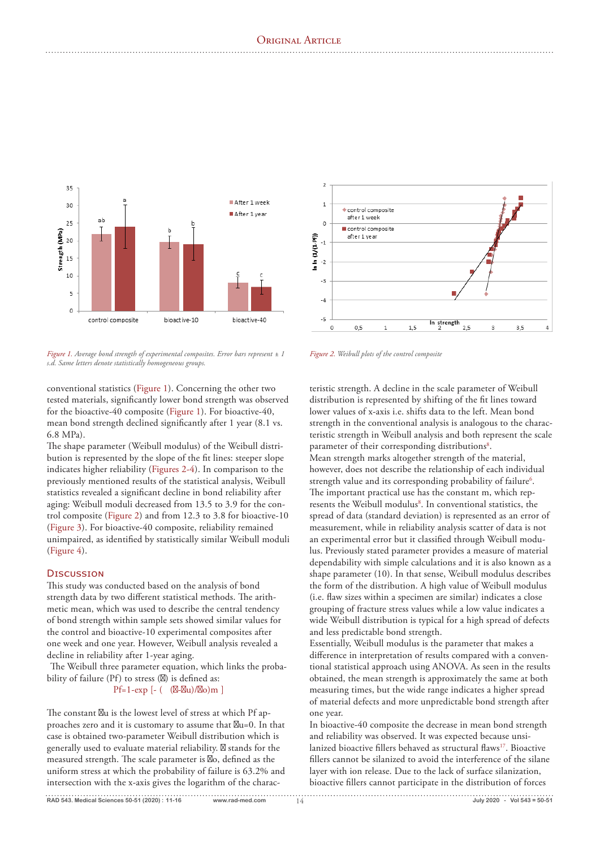

*Figure 1. Average bond strength of experimental composites. Error bars represent ± 1 s.d. Same letters denote statistically homogeneous groups.* 

conventional statistics (Figure 1). Concerning the other two tested materials, significantly lower bond strength was observed for the bioactive-40 composite (Figure 1). For bioactive-40, mean bond strength declined significantly after 1 year (8.1 vs. 6.8 MPa).

The shape parameter (Weibull modulus) of the Weibull distribution is represented by the slope of the fit lines: steeper slope indicates higher reliability (Figures 2-4). In comparison to the previously mentioned results of the statistical analysis, Weibull statistics revealed a significant decline in bond reliability after aging: Weibull moduli decreased from 13.5 to 3.9 for the control composite (Figure 2) and from 12.3 to 3.8 for bioactive-10 (Figure 3). For bioactive-40 composite, reliability remained unimpaired, as identified by statistically similar Weibull moduli (Figure 4).

## DISCUSSION

This study was conducted based on the analysis of bond strength data by two different statistical methods. The arithmetic mean, which was used to describe the central tendency of bond strength within sample sets showed similar values for the control and bioactive-10 experimental composites after one week and one year. However, Weibull analysis revealed a decline in reliability after 1-year aging.

The Weibull three parameter equation, which links the probability of failure  $(Pf)$  to stress  $( )$  is defined as:

Pf=1-exp [- ( ( - u)/ o)m ]

The constant u is the lowest level of stress at which Pf approaches zero and it is customary to assume that u=0. In that case is obtained two-parameter Weibull distribution which is generally used to evaluate material reliability. stands for the measured strength. The scale parameter is o, defined as the uniform stress at which the probability of failure is 63.2% and intersection with the x-axis gives the logarithm of the charac-



*Figure 2. Weibull plots of the control composite*

teristic strength. A decline in the scale parameter of Weibull distribution is represented by shifting of the fit lines toward lower values of x-axis i.e. shifts data to the left. Mean bond strength in the conventional analysis is analogous to the characteristic strength in Weibull analysis and both represent the scale parameter of their corresponding distributions<sup>8</sup>. Mean strength marks altogether strength of the material, however, does not describe the relationship of each individual strength value and its corresponding probability of failure<sup>6</sup>. The important practical use has the constant m, which represents the Weibull modulus<sup>8</sup>. In conventional statistics, the spread of data (standard deviation) is represented as an error of measurement, while in reliability analysis scatter of data is not an experimental error but it classified through Weibull modulus. Previously stated parameter provides a measure of material dependability with simple calculations and it is also known as a shape parameter (10). In that sense, Weibull modulus describes the form of the distribution. A high value of Weibull modulus (i.e. flaw sizes within a specimen are similar) indicates a close grouping of fracture stress values while a low value indicates a wide Weibull distribution is typical for a high spread of defects and less predictable bond strength.

Essentially, Weibull modulus is the parameter that makes a difference in interpretation of results compared with a conventional statistical approach using ANOVA. As seen in the results obtained, the mean strength is approximately the same at both measuring times, but the wide range indicates a higher spread of material defects and more unpredictable bond strength after one year.

In bioactive-40 composite the decrease in mean bond strength and reliability was observed. It was expected because unsilanized bioactive fillers behaved as structural flaws<sup>17</sup>. Bioactive fillers cannot be silanized to avoid the interference of the silane layer with ion release. Due to the lack of surface silanization, bioactive fillers cannot participate in the distribution of forces

**RAD 543. Medical Sciences 50-51 (2020) : www.rad-med.com** 14 **July 2020 - Vol 543 = 50-51 11-16**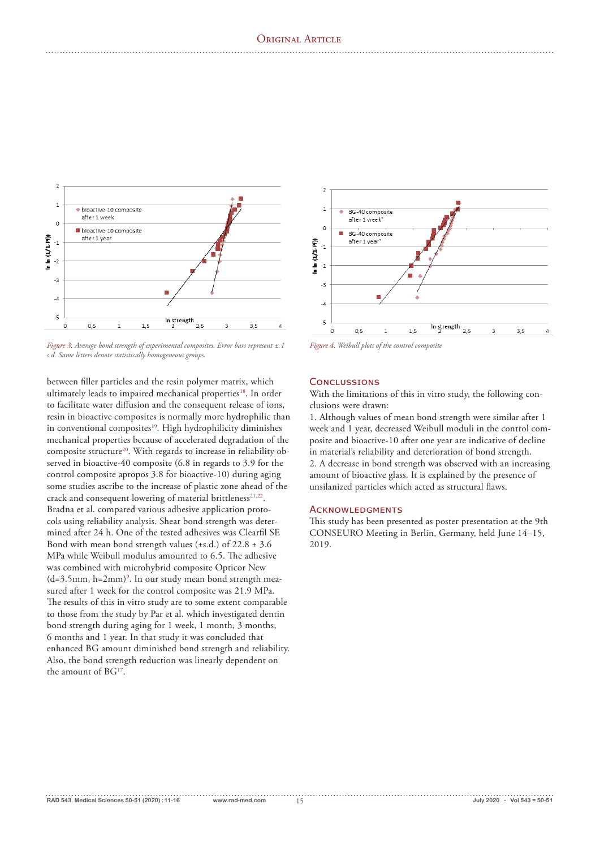

*Figure 3. Average bond strength of experimental composites. Error bars represent ± 1 s.d. Same letters denote statistically homogeneous groups.* 

between filler particles and the resin polymer matrix, which ultimately leads to impaired mechanical properties<sup>18</sup>. In order to facilitate water diffusion and the consequent release of ions, resin in bioactive composites is normally more hydrophilic than in conventional composites<sup>19</sup>. High hydrophilicity diminishes mechanical properties because of accelerated degradation of the composite structure<sup>20</sup>. With regards to increase in reliability observed in bioactive-40 composite (6.8 in regards to 3.9 for the control composite apropos 3.8 for bioactive-10) during aging some studies ascribe to the increase of plastic zone ahead of the crack and consequent lowering of material brittleness<sup>21,22</sup>. Bradna et al. compared various adhesive application protocols using reliability analysis. Shear bond strength was determined after 24 h. One of the tested adhesives was Clearfil SE Bond with mean bond strength values ( $\pm$ s.d.) of 22.8  $\pm$  3.6 MPa while Weibull modulus amounted to 6.5. The adhesive was combined with microhybrid composite Opticor New  $(d=3.5mm, h=2mm)^9$ . In our study mean bond strength measured after 1 week for the control composite was 21.9 MPa. The results of this in vitro study are to some extent comparable to those from the study by Par et al. which investigated dentin bond strength during aging for 1 week, 1 month, 3 months, 6 months and 1 year. In that study it was concluded that enhanced BG amount diminished bond strength and reliability. Also, the bond strength reduction was linearly dependent on the amount of BG<sup>17</sup>.



*Figure 4. Weibull plots of the control composite*

# CONCLUSSIONS

With the limitations of this in vitro study, the following conclusions were drawn:

1. Although values of mean bond strength were similar after 1 week and 1 year, decreased Weibull moduli in the control composite and bioactive-10 after one year are indicative of decline in material's reliability and deterioration of bond strength. 2. A decrease in bond strength was observed with an increasing amount of bioactive glass. It is explained by the presence of unsilanized particles which acted as structural flaws.

## **ACKNOWLEDGMENTS**

This study has been presented as poster presentation at the 9th CONSEURO Meeting in Berlin, Germany, held June 14–15, 2019.